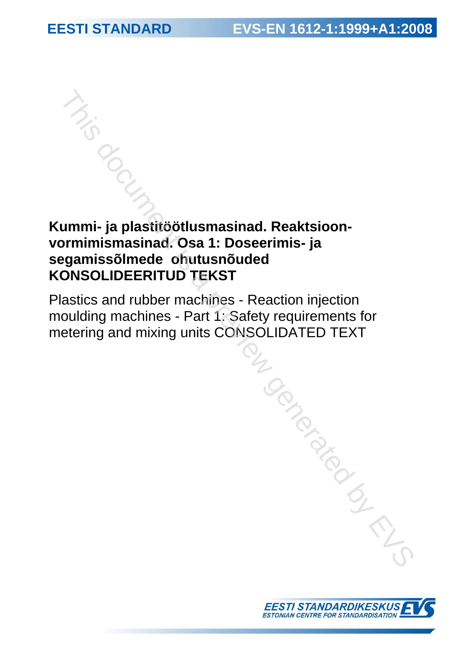# **Kummi- ja plastitöötlusmasinad. Reaktsioonvormimismasinad. Osa 1: Doseerimis- ja segamissõlmede ohutusnõuded KONSOLIDEERITUD TEKST**  This document is a plastite of thus massinad. Reaktsioon-<br>
Figures is a contribution of the series of the series of the series of the series and rubber machines - Reaction injection<br>
louding machines - Part 1: Safety requi

Plastics and rubber machines - Reaction injection moulding machines - Part 1: Safety requirements for metering and mixing units CONSOLIDATED TEXT

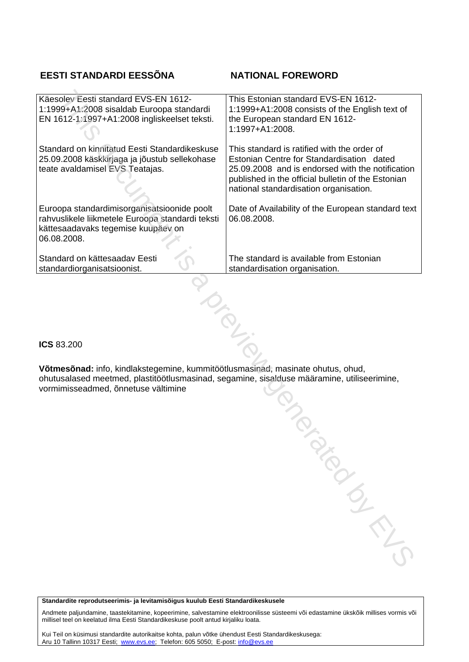# **EESTI STANDARDI EESSÕNA NATIONAL FOREWORD**

| Käesolev Eesti standard EVS-EN 1612-<br>1:1999+A1:2008 sisaldab Euroopa standardi<br>EN 1612-1:1997+A1:2008 ingliskeelset teksti.                    | This Estonian standard EVS-EN 1612-<br>1:1999+A1:2008 consists of the English text of<br>the European standard EN 1612-<br>1:1997+A1:2008.                                                                                                   |
|------------------------------------------------------------------------------------------------------------------------------------------------------|----------------------------------------------------------------------------------------------------------------------------------------------------------------------------------------------------------------------------------------------|
| Standard on kinnitatud Eesti Standardikeskuse<br>25.09.2008 käskkirjaga ja jõustub sellekohase<br>teate avaldamisel EVS Teatajas.                    | This standard is ratified with the order of<br>Estonian Centre for Standardisation dated<br>25.09.2008 and is endorsed with the notification<br>published in the official bulletin of the Estonian<br>national standardisation organisation. |
| Euroopa standardimisorganisatsioonide poolt<br>rahvuslikele liikmetele Euroopa standardi teksti<br>kättesaadavaks tegemise kuupäev on<br>06.08.2008. | Date of Availability of the European standard text<br>06.08.2008.                                                                                                                                                                            |
| Standard on kättesaadav Eesti<br>standardiorganisatsioonist.                                                                                         | The standard is available from Estonian<br>standardisation organisation.                                                                                                                                                                     |
|                                                                                                                                                      |                                                                                                                                                                                                                                              |

**ICS** 83.200

**Võtmesõnad:** info, kindlakstegemine, kummitöötlusmasinad, masinate ohutus, ohud, ohutusalased meetmed, plastitöötlusmasinad, segamine, sisalduse määramine, utiliseerimine, vormimisseadmed, õnnetuse vältimine Immitöötlusmasinad, masinate ohutus, ohud,<br>
sinad, segamine, sisalduse määramine, utiliseerimine,<br>
and the segamine sisalduse määramine, utiliseerimine,

#### **Standardite reprodutseerimis- ja levitamisõigus kuulub Eesti Standardikeskusele**

Andmete paljundamine, taastekitamine, kopeerimine, salvestamine elektroonilisse süsteemi või edastamine ükskõik millises vormis või millisel teel on keelatud ilma Eesti Standardikeskuse poolt antud kirjaliku loata.

Kui Teil on küsimusi standardite autorikaitse kohta, palun võtke ühendust Eesti Standardikeskusega: Aru 10 Tallinn 10317 Eesti; www.evs.ee; Telefon: 605 5050; E-post: info@evs.ee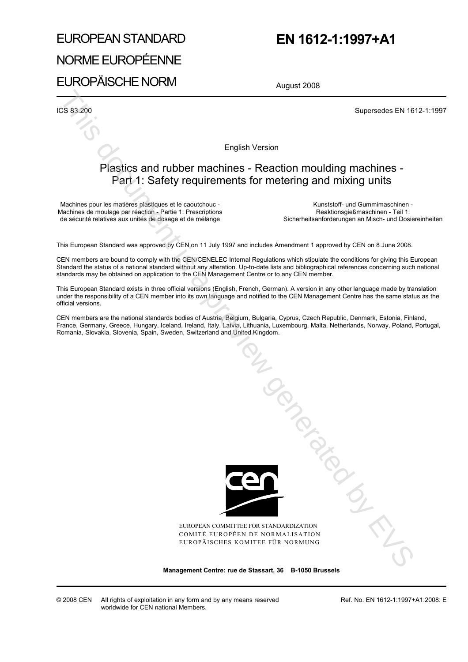# EUROPEAN STANDARD NORME EUROPÉENNE EUROPÄISCHE NORM

# **EN 1612-1:1997+A1**

August 2008

**ICS 83.200** Supersedes EN 1612-1:1997

English Version

# Plastics and rubber machines - Reaction moulding machines - Part 1: Safety requirements for metering and mixing units

Machines pour les matières plastiques et le caoutchouc - Machines de moulage par réaction - Partie 1: Prescriptions de sécurité relatives aux unités de dosage et de mélange

 Kunststoff- und Gummimaschinen - Reaktionsgießmaschinen - Teil 1: Sicherheitsanforderungen an Misch- und Dosiereinheiten

This European Standard was approved by CEN on 11 July 1997 and includes Amendment 1 approved by CEN on 8 June 2008.

CEN members are bound to comply with the CEN/CENELEC Internal Regulations which stipulate the conditions for giving this European Standard the status of a national standard without any alteration. Up-to-date lists and bibliographical references concerning such national standards may be obtained on application to the CEN Management Centre or to any CEN member.

This European Standard exists in three official versions (English, French, German). A version in any other language made by translation under the responsibility of a CEN member into its own language and notified to the CEN Management Centre has the same status as the official versions.

CEN members are the national standards bodies of Austria, Belgium, Bulgaria, Cyprus, Czech Republic, Denmark, Estonia, Finland, France, Germany, Greece, Hungary, Iceland, Ireland, Italy, Latvia, Lithuania, Luxembourg, Malta, Netherlands, Norway, Poland, Portugal, Romania, Slovakia, Slovenia, Spain, Sweden, Switzerland and United Kingdom.



EUROPEAN COMMITTEE FOR STANDARDIZATION COMITÉ EUROPÉEN DE NORMALISATION EUROPÄISCHES KOMITEE FÜR NORMUNG Tanguay and Manuscript

**Management Centre: rue de Stassart, 36 B-1050 Brussels**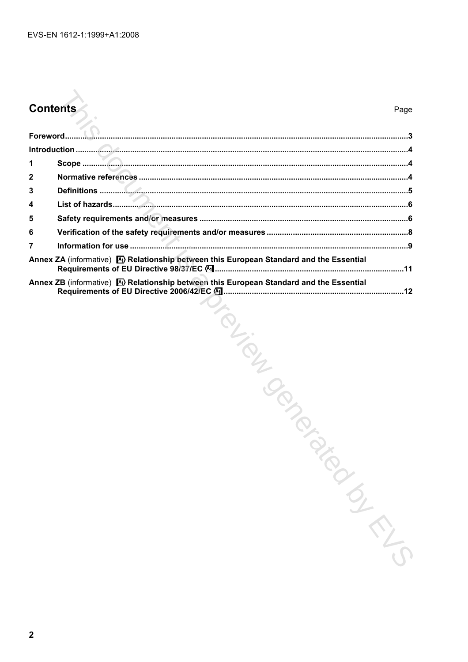# **Contents**

| 1                                                                                                      |                                                                                                   |
|--------------------------------------------------------------------------------------------------------|---------------------------------------------------------------------------------------------------|
| 2                                                                                                      |                                                                                                   |
| 3                                                                                                      |                                                                                                   |
| 4                                                                                                      |                                                                                                   |
| 5                                                                                                      |                                                                                                   |
| 6                                                                                                      |                                                                                                   |
| 7                                                                                                      |                                                                                                   |
| Annex ZA (informative) <a> <a> M</a> Relationship between this European Standard and the Essential</a> |                                                                                                   |
|                                                                                                        | Annex ZB (informative) $\bigotimes$ Relationship between this European Standard and the Essential |
|                                                                                                        | TOLION ON DR                                                                                      |
|                                                                                                        |                                                                                                   |
|                                                                                                        |                                                                                                   |
|                                                                                                        |                                                                                                   |
|                                                                                                        |                                                                                                   |
|                                                                                                        |                                                                                                   |
|                                                                                                        |                                                                                                   |
|                                                                                                        |                                                                                                   |
|                                                                                                        |                                                                                                   |
|                                                                                                        |                                                                                                   |
|                                                                                                        |                                                                                                   |
|                                                                                                        |                                                                                                   |
|                                                                                                        |                                                                                                   |
|                                                                                                        |                                                                                                   |
|                                                                                                        |                                                                                                   |
|                                                                                                        |                                                                                                   |
|                                                                                                        |                                                                                                   |
|                                                                                                        |                                                                                                   |
|                                                                                                        | INTERN                                                                                            |
|                                                                                                        |                                                                                                   |
|                                                                                                        |                                                                                                   |
|                                                                                                        |                                                                                                   |
|                                                                                                        |                                                                                                   |
|                                                                                                        |                                                                                                   |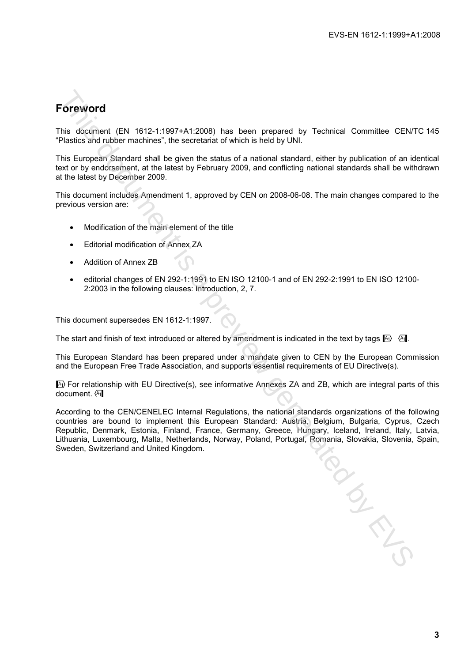# **Foreword**

This document (EN 1612-1:1997+A1:2008) has been prepared by Technical Committee CEN/TC 145 "Plastics and rubber machines", the secretariat of which is held by UNI.

This European Standard shall be given the status of a national standard, either by publication of an identical text or by endorsement, at the latest by February 2009, and conflicting national standards shall be withdrawn at the latest by December 2009.

This document includes Amendment 1, approved by CEN on 2008-06-08. The main changes compared to the previous version are:

- Modification of the main element of the title
- Editorial modification of Annex ZA
- Addition of Annex ZB
- editorial changes of EN 292-1:1991 to EN ISO 12100-1 and of EN 292-2:1991 to EN ISO 12100- 2:2003 in the following clauses: Introduction, 2, 7.

This document supersedes EN 1612-1:1997.

The start and finish of text introduced or altered by amendment is indicated in the text by tags  $\mathbb{A}_1$ .

This European Standard has been prepared under a mandate given to CEN by the European Commission and the European Free Trade Association, and supports essential requirements of EU Directive(s).

 $\ket{\mathbb{A}}$  For relationship with EU Directive(s), see informative Annexes ZA and ZB, which are integral parts of this document.  $\sqrt{A_1}$ 

According to the CEN/CENELEC Internal Regulations, the national standards organizations of the following countries are bound to implement this European Standard: Austria, Belgium, Bulgaria, Cyprus, Czech Republic, Denmark, Estonia, Finland, France, Germany, Greece, Hungary, Iceland, Ireland, Italy, Latvia, Lithuania, Luxembourg, Malta, Netherlands, Norway, Poland, Portugal, Romania, Slovakia, Slovenia, Spain, Sweden, Switzerland and United Kingdom. CoreWord<br>
This document (EN 1612-11997+A1:2008), has been prepared by Technical Committee CENT<br>
Plastics and ubbe machines , the secretarint of which is held by UNI<br>
This European Standard stall be given the status of a n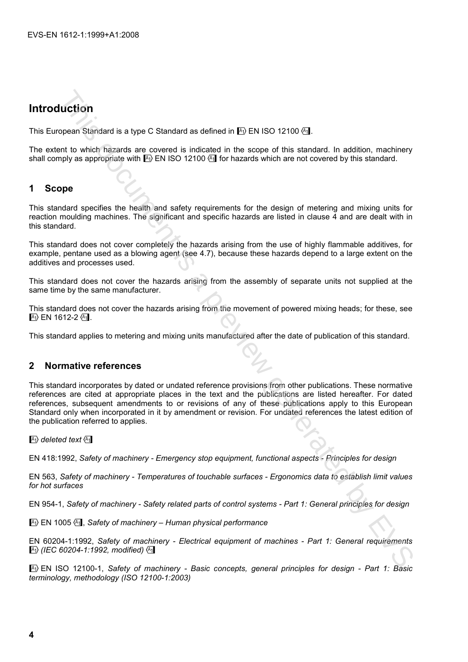# **Introduction**

This European Standard is a type C Standard as defined in  $A$ ) EN ISO 12100  $A$ .

The extent to which hazards are covered is indicated in the scope of this standard. In addition, machinery shall comply as appropriate with  $\mathbb{A}_1$  EN ISO 12100  $\mathbb{A}_1$  for hazards which are not covered by this standard.

# **1 Scope**

This standard specifies the health and safety requirements for the design of metering and mixing units for reaction moulding machines. The significant and specific hazards are listed in clause 4 and are dealt with in this standard.

This standard does not cover completely the hazards arising from the use of highly flammable additives, for example, pentane used as a blowing agent (see 4.7), because these hazards depend to a large extent on the additives and processes used.

This standard does not cover the hazards arising from the assembly of separate units not supplied at the same time by the same manufacturer.

This standard does not cover the hazards arising from the movement of powered mixing heads; for these, see  $\sqrt{A_1}$  EN 1612-2 $\sqrt{A_1}$ .

This standard applies to metering and mixing units manufactured after the date of publication of this standard.

# **2 Normative references**

This standard incorporates by dated or undated reference provisions from other publications. These normative references are cited at appropriate places in the text and the publications are listed hereafter. For dated references, subsequent amendments to or revisions of any of these publications apply to this European Standard only when incorporated in it by amendment or revision. For undated references the latest edition of the publication referred to applies. **LUCTION**<br>
Signish Standard is a type C Standard as defined in Fo EN ISO 12100 (5)<br>
Signish Standard is a type C Standard as defined in the scope of this standard. In addition, machinety<br>
or the switch Taizards are covered

 $\vert$ <sup>A</sup>1) deleted text  $\langle$ <sup>A</sup>1

EN 418:1992, *Safety of machinery - Emergency stop equipment, functional aspects - Principles for design* 

EN 563, *Safety of machinery - Temperatures of touchable surfaces - Ergonomics data to establish limit values for hot surfaces* 

EN 954-1, *Safety of machinery - Safety related parts of control systems - Part 1: General principles for design* 

 $\mathbb{F}_1$  EN 1005  $\mathbb{F}_1$ . Safety of machinery – Human physical performance

EN 60204-1:1992, *Safety of machinery - Electrical equipment of machines - Part 1: General requirements*  !*(IEC 60204-1:1992, modified)*"

!EN ISO 12100-1, *Safety of machinery - Basic concepts, general principles for design - Part 1: Basic terminology, methodology (ISO 12100-1:2003)*